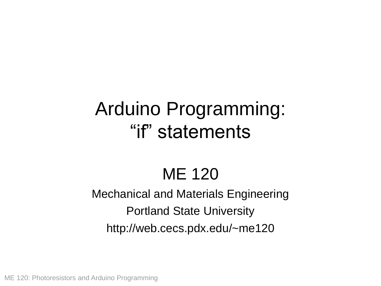# Arduino Programming: "if" statements

## ME 120

#### Mechanical and Materials Engineering Portland State University http://web.cecs.pdx.edu/~me120

ME 120: Photoresistors and Arduino Programming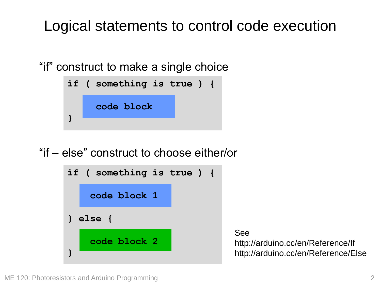### Logical statements to control code execution

"if" construct to make a single choice



"if – else" construct to choose either/or



See http://arduino.cc/en/Reference/If http://arduino.cc/en/Reference/Else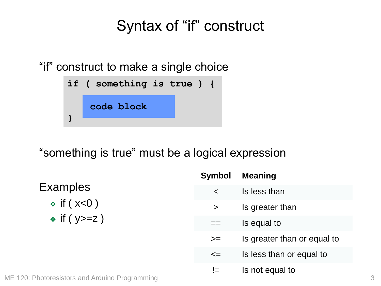#### Syntax of "if" construct

"if" construct to make a single choice



"something is true" must be a logical expression

**Examples**  $\div$  if ( $x<0$ )  $\div$  if ( y > = z )

| Symbol | <b>Meaning</b>              |
|--------|-----------------------------|
| <      | Is less than                |
| $\geq$ | Is greater than             |
|        | Is equal to                 |
| $>=$   | Is greater than or equal to |
| $\leq$ | Is less than or equal to    |
| $!=$   | Is not equal to             |

ME 120: Photoresistors and Arduino Programming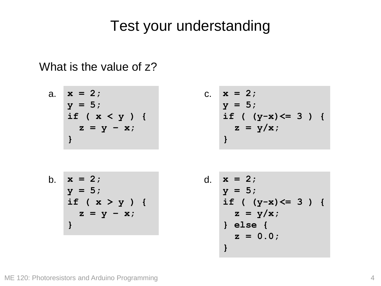#### Test your understanding

What is the value of z?

a. 
$$
x = 2
$$
;  
\n $y = 5$ ;  
\nif  $(x < y)$  {  
\n $z = y - x$ ;  
\n}

C. 
$$
x = 2
$$
;  
\n $y = 5$ ;  
\nif  $(y-x) \le 3$  } {  
\n $z = y/x$ ;  
\n}

b. 
$$
x = 2
$$
;  
\n $y = 5$ ;  
\nif  $(x > y)$  {  
\n $z = y - x$ ;  
\n}

d. 
$$
x = 2
$$
;  
\n $y = 5$ ;  
\nif  $(y-x) \le 3$ ) {  
\n $z = y/x$ ;  
\n} else {  
\n $z = 0.0$ ;  
\n}